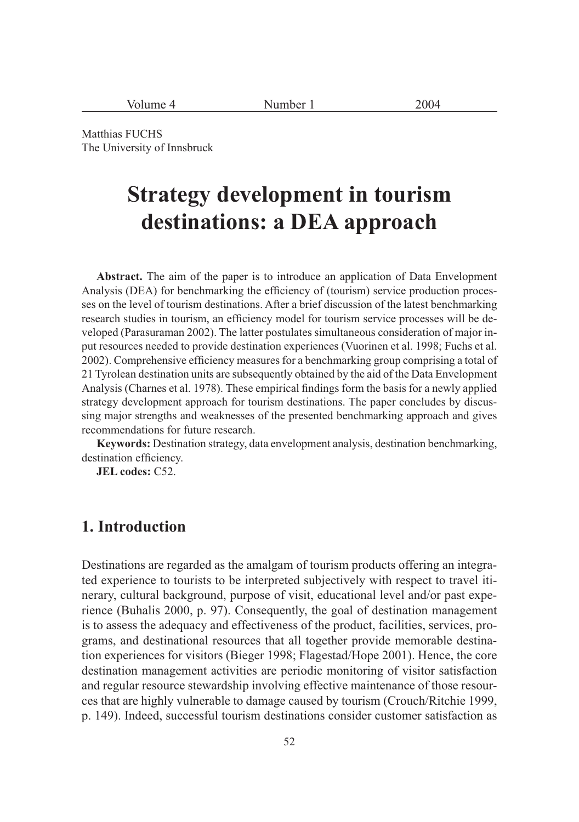| Volume 4 | Number <sub>1</sub> | 2004 |
|----------|---------------------|------|
|----------|---------------------|------|

Matthias FUCHS The University of Innsbruck

# **Strategy development in tourism destinations: a DEA approach**

**Abstract.** The aim of the paper is to introduce an application of Data Envelopment Analysis (DEA) for benchmarking the efficiency of (tourism) service production processes on the level of tourism destinations. After a brief discussion of the latest benchmarking research studies in tourism, an efficiency model for tourism service processes will be developed (Parasuraman 2002). The latter postulates simultaneous consideration of major input resources needed to provide destination experiences (Vuorinen et al. 1998; Fuchs et al. 2002). Comprehensive efficiency measures for a benchmarking group comprising a total of 21 Tyrolean destination units are subsequently obtained by the aid of the Data Envelopment Analysis (Charnes et al. 1978). These empirical findings form the basis for a newly applied strategy development approach for tourism destinations. The paper concludes by discussing major strengths and weaknesses of the presented benchmarking approach and gives recommendations for future research.

**Keywords:** Destination strategy, data envelopment analysis, destination benchmarking, destination efficiency.

**JEL codes:** C52.

## **1. Introduction**

Destinations are regarded as the amalgam of tourism products offering an integrated experience to tourists to be interpreted subjectively with respect to travel itinerary, cultural background, purpose of visit, educational level and/or past experience (Buhalis 2000, p. 97). Consequently, the goal of destination management is to assess the adequacy and effectiveness of the product, facilities, services, programs, and destinational resources that all together provide memorable destination experiences for visitors (Bieger 1998; Flagestad/Hope 2001). Hence, the core destination management activities are periodic monitoring of visitor satisfaction and regular resource stewardship involving effective maintenance of those resources that are highly vulnerable to damage caused by tourism (Crouch/Ritchie 1999, p. 149). Indeed, successful tourism destinations consider customer satisfaction as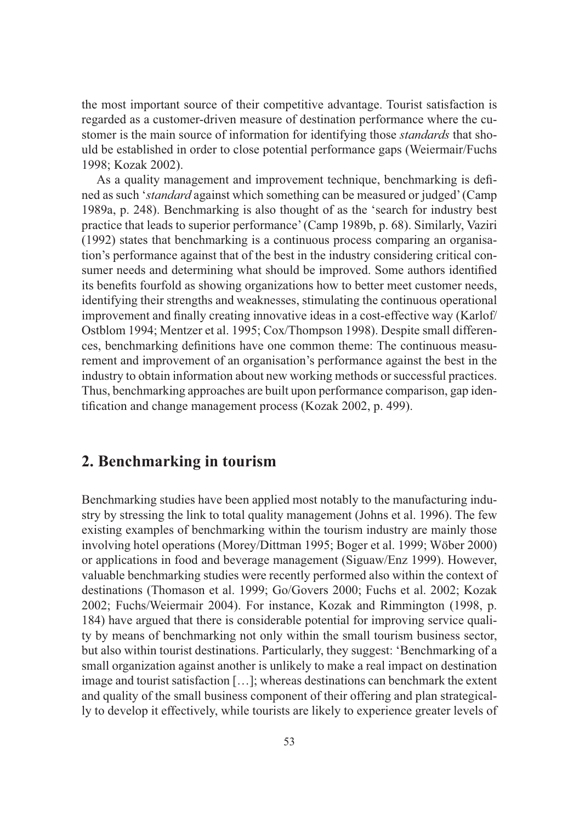the most important source of their competitive advantage. Tourist satisfaction is regarded as a customer-driven measure of destination performance where the customer is the main source of information for identifying those *standards* that should be established in order to close potential performance gaps (Weiermair/Fuchs 1998; Kozak 2002).

As a quality management and improvement technique, benchmarking is defined as such '*standard* against which something can be measured or judged' (Camp 1989a, p. 248). Benchmarking is also thought of as the 'search for industry best practice that leads to superior performance' (Camp 1989b, p. 68). Similarly, Vaziri (1992) states that benchmarking is a continuous process comparing an organisation's performance against that of the best in the industry considering critical consumer needs and determining what should be improved. Some authors identified its benefits fourfold as showing organizations how to better meet customer needs, identifying their strengths and weaknesses, stimulating the continuous operational improvement and finally creating innovative ideas in a cost-effective way (Karlof/ Ostblom 1994; Mentzer et al. 1995; Cox/Thompson 1998). Despite small differences, benchmarking definitions have one common theme: The continuous measurement and improvement of an organisation's performance against the best in the industry to obtain information about new working methods or successful practices. Thus, benchmarking approaches are built upon performance comparison, gap identification and change management process (Kozak 2002, p. 499).

## **2. Benchmarking in tourism**

Benchmarking studies have been applied most notably to the manufacturing industry by stressing the link to total quality management (Johns et al. 1996). The few existing examples of benchmarking within the tourism industry are mainly those involving hotel operations (Morey/Dittman 1995; Boger et al. 1999; Wöber 2000) or applications in food and beverage management (Siguaw/Enz 1999). However, valuable benchmarking studies were recently performed also within the context of destinations (Thomason et al. 1999; Go/Govers 2000; Fuchs et al. 2002; Kozak 2002; Fuchs/Weiermair 2004). For instance, Kozak and Rimmington (1998, p. 184) have argued that there is considerable potential for improving service quality by means of benchmarking not only within the small tourism business sector, but also within tourist destinations. Particularly, they suggest: 'Benchmarking of a small organization against another is unlikely to make a real impact on destination image and tourist satisfaction […]; whereas destinations can benchmark the extent and quality of the small business component of their offering and plan strategically to develop it effectively, while tourists are likely to experience greater levels of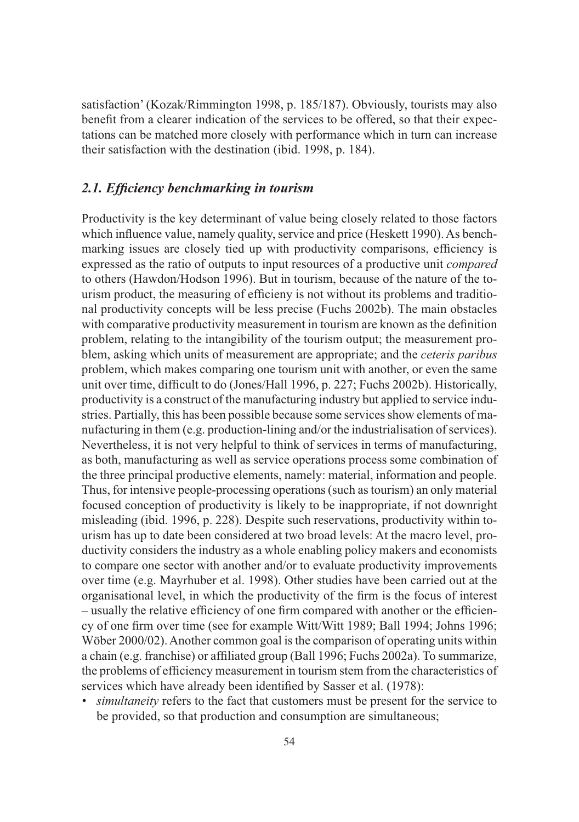satisfaction' (Kozak/Rimmington 1998, p. 185/187). Obviously, tourists may also benefit from a clearer indication of the services to be offered, so that their expectations can be matched more closely with performance which in turn can increase their satisfaction with the destination (ibid. 1998, p. 184).

#### *2.1. Efficiency benchmarking in tourism*

Productivity is the key determinant of value being closely related to those factors which influence value, namely quality, service and price (Heskett 1990). As benchmarking issues are closely tied up with productivity comparisons, efficiency is expressed as the ratio of outputs to input resources of a productive unit *compared* to others (Hawdon/Hodson 1996). But in tourism, because of the nature of the tourism product, the measuring of efficieny is not without its problems and traditional productivity concepts will be less precise (Fuchs 2002b). The main obstacles with comparative productivity measurement in tourism are known as the definition problem, relating to the intangibility of the tourism output; the measurement problem, asking which units of measurement are appropriate; and the *ceteris paribus* problem, which makes comparing one tourism unit with another, or even the same unit over time, difficult to do (Jones/Hall 1996, p. 227; Fuchs 2002b). Historically, productivity is a construct of the manufacturing industry but applied to service industries. Partially, this has been possible because some services show elements of manufacturing in them (e.g. production-lining and/or the industrialisation of services). Nevertheless, it is not very helpful to think of services in terms of manufacturing, as both, manufacturing as well as service operations process some combination of the three principal productive elements, namely: material, information and people. Thus, for intensive people-processing operations (such as tourism) an only material focused conception of productivity is likely to be inappropriate, if not downright misleading (ibid. 1996, p. 228). Despite such reservations, productivity within tourism has up to date been considered at two broad levels: At the macro level, productivity considers the industry as a whole enabling policy makers and economists to compare one sector with another and/or to evaluate productivity improvements over time (e.g. Mayrhuber et al. 1998). Other studies have been carried out at the organisational level, in which the productivity of the firm is the focus of interest – usually the relative efficiency of one firm compared with another or the efficiency of one firm over time (see for example Witt/Witt 1989; Ball 1994; Johns 1996; Wöber 2000/02). Another common goal is the comparison of operating units within a chain (e.g. franchise) or affiliated group (Ball 1996; Fuchs 2002a). To summarize, the problems of efficiency measurement in tourism stem from the characteristics of services which have already been identified by Sasser et al. (1978):

*• simultaneity* refers to the fact that customers must be present for the service to be provided, so that production and consumption are simultaneous;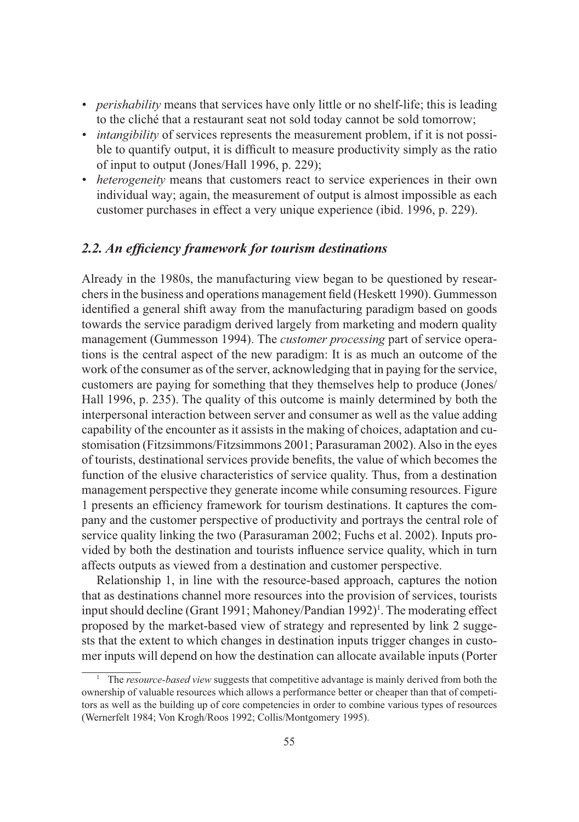- *perishability* means that services have only little or no shelf-life; this is leading to the cliché that a restaurant seat not sold today cannot be sold tomorrow;
- *intangibility* of services represents the measurement problem, if it is not possible to quantify output, it is difficult to measure productivity simply as the ratio of input to output (Jones/Hall 1996, p. 229);
- *heterogeneity* means that customers react to service experiences in their own individual way; again, the measurement of output is almost impossible as each customer purchases in effect a very unique experience (ibid. 1996, p. 229).

#### *2.2. An efficiency framework for tourism destinations*

Already in the 1980s, the manufacturing view began to be questioned by researchers in the business and operations management field (Heskett 1990). Gummesson identified a general shift away from the manufacturing paradigm based on goods towards the service paradigm derived largely from marketing and modern quality management (Gummesson 1994). The *customer processing* part of service operations is the central aspect of the new paradigm: It is as much an outcome of the work of the consumer as of the server, acknowledging that in paying for the service, customers are paying for something that they themselves help to produce (Jones/ Hall 1996, p. 235). The quality of this outcome is mainly determined by both the interpersonal interaction between server and consumer as well as the value adding capability of the encounter as it assists in the making of choices, adaptation and customisation (Fitzsimmons/Fitzsimmons 2001; Parasuraman 2002). Also in the eyes of tourists, destinational services provide benefits, the value of which becomes the function of the elusive characteristics of service quality. Thus, from a destination management perspective they generate income while consuming resources. Figure 1 presents an efficiency framework for tourism destinations. It captures the company and the customer perspective of productivity and portrays the central role of service quality linking the two (Parasuraman 2002; Fuchs et al. 2002). Inputs provided by both the destination and tourists influence service quality, which in turn affects outputs as viewed from a destination and customer perspective.

Relationship 1, in line with the resource-based approach, captures the notion that as destinations channel more resources into the provision of services, tourists input should decline (Grant 1991; Mahoney/Pandian 1992)<sup>1</sup>. The moderating effect proposed by the market-based view of strategy and represented by link 2 suggests that the extent to which changes in destination inputs trigger changes in customer inputs will depend on how the destination can allocate available inputs (Porter

<sup>1</sup> The *resource-based view* suggests that competitive advantage is mainly derived from both the ownership of valuable resources which allows a performance better or cheaper than that of competitors as well as the building up of core competencies in order to combine various types of resources (Wernerfelt 1984; Von Krogh/Roos 1992; Collis/Montgomery 1995).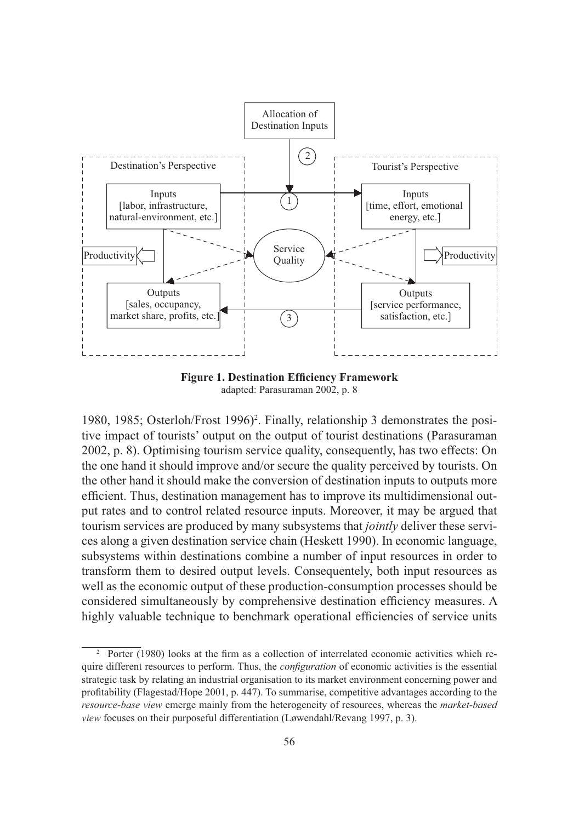

**Figure 1. Destination Efficiency Framework** adapted: Parasuraman 2002, p. 8

1980, 1985; Osterloh/Frost 1996)<sup>2</sup>. Finally, relationship 3 demonstrates the positive impact of tourists' output on the output of tourist destinations (Parasuraman 2002, p. 8). Optimising tourism service quality, consequently, has two effects: On the one hand it should improve and/or secure the quality perceived by tourists. On the other hand it should make the conversion of destination inputs to outputs more efficient. Thus, destination management has to improve its multidimensional output rates and to control related resource inputs. Moreover, it may be argued that tourism services are produced by many subsystems that *jointly* deliver these services along a given destination service chain (Heskett 1990). In economic language, subsystems within destinations combine a number of input resources in order to transform them to desired output levels. Consequentely, both input resources as well as the economic output of these production-consumption processes should be considered simultaneously by comprehensive destination efficiency measures. A highly valuable technique to benchmark operational efficiencies of service units

<sup>2</sup> Porter (1980) looks at the firm as a collection of interrelated economic activities which require different resources to perform. Thus, the *configuration* of economic activities is the essential strategic task by relating an industrial organisation to its market environment concerning power and profitability (Flagestad/Hope 2001, p. 447). To summarise, competitive advantages according to the *resource-base view* emerge mainly from the heterogeneity of resources, whereas the *market-based view* focuses on their purposeful differentiation (Løwendahl/Revang 1997, p. 3).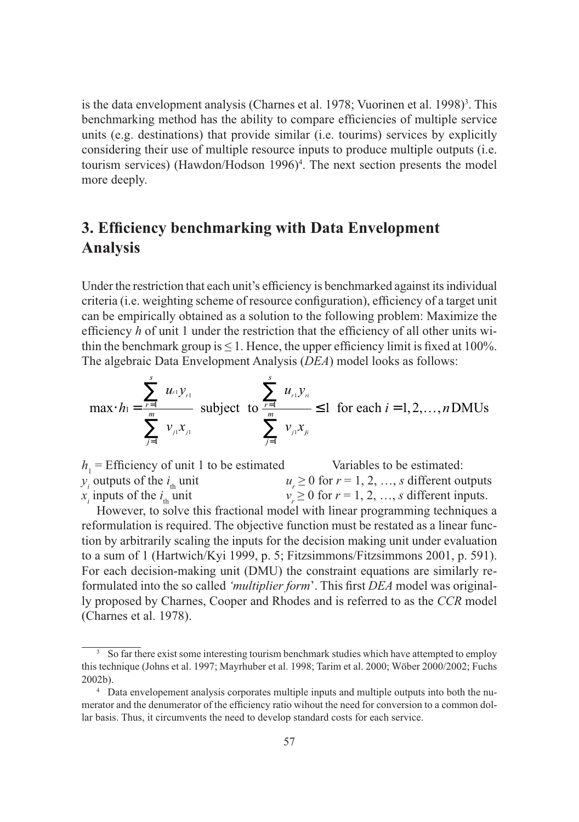is the data envelopment analysis (Charnes et al. 1978; Vuorinen et al. 1998)<sup>3</sup>. This benchmarking method has the ability to compare efficiencies of multiple service units (e.g. destinations) that provide similar (i.e. tourims) services by explicitly considering their use of multiple resource inputs to produce multiple outputs (i.e. tourism services) (Hawdon/Hodson 1996)<sup>4</sup>. The next section presents the model more deeply.

# **3. Efficiency benchmarking with Data Envelopment Analysis**

Under the restriction that each unit's efficiency is benchmarked against its individual criteria (i.e. weighting scheme of resource configuration), efficiency of a target unit can be empirically obtained as a solution to the following problem: Maximize the efficiency *h* of unit 1 under the restriction that the efficiency of all other units within the benchmark group is  $\leq 1$ . Hence, the upper efficiency limit is fixed at 100%. The algebraic Data Envelopment Analysis (*DEA*) model looks as follows:

$$
\max \cdot h_1 = \frac{\sum_{r=1}^{s} u_{r1} y_{r1}}{\sum_{j=1}^{m} v_{j1} x_{j1}} \text{ subject to } \frac{\sum_{r=1}^{s} u_{r1} y_{r1}}{\sum_{j=1}^{m} v_{j1} x_{j1}} \le 1 \text{ for each } i = 1, 2, ..., n \text{ DMUs}
$$

 $h_1$  = Efficiency of unit 1 to be estimated Variables to be estimated:  $y_i$  outputs of the  $i_{\text{th}}$  unit  $u_r$  $u_r \geq 0$  for  $r = 1, 2, ..., s$  different outputs *xi* inputs of the *i* th unit  $v_r$  $v'_i \geq 0$  for  $r = 1, 2, ..., s$  different inputs.

However, to solve this fractional model with linear programming techniques a reformulation is required. The objective function must be restated as a linear function by arbitrarily scaling the inputs for the decision making unit under evaluation to a sum of 1 (Hartwich/Kyi 1999, p. 5; Fitzsimmons/Fitzsimmons 2001, p. 591). For each decision-making unit (DMU) the constraint equations are similarly reformulated into the so called *'multiplier form*'. This first *DEA* model was originally proposed by Charnes, Cooper and Rhodes and is referred to as the *CCR* model (Charnes et al. 1978).

<sup>&</sup>lt;sup>3</sup> So far there exist some interesting tourism benchmark studies which have attempted to employ this technique (Johns et al. 1997; Mayrhuber et al. 1998; Tarim et al. 2000; Wöber 2000/2002; Fuchs 2002b).

<sup>4</sup> Data envelopement analysis corporates multiple inputs and multiple outputs into both the numerator and the denumerator of the efficiency ratio wihout the need for conversion to a common dollar basis. Thus, it circumvents the need to develop standard costs for each service.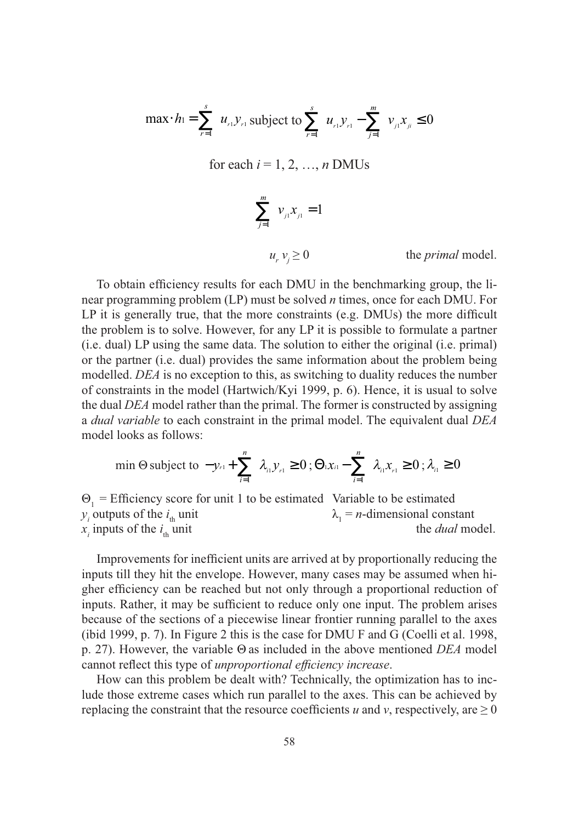$$
\max h = \sum_{r=1}^{s} u_{r} y_{r} \text{ subject to } \sum_{r=1}^{s} u_{r} y_{r} - \sum_{j=1}^{m} v_{j} x_{j} \le 0
$$

for each  $i = 1, 2, ..., n$  DMUs

$$
\sum_{j=1}^{m} v_{j1} x_{j1} = 1
$$
  
 
$$
u_{r} v_{j} \ge 0 \qquad \text{the primal model.}
$$

To obtain efficiency results for each DMU in the benchmarking group, the linear programming problem (LP) must be solved *n* times, once for each DMU. For LP it is generally true, that the more constraints (e.g. DMUs) the more difficult the problem is to solve. However, for any LP it is possible to formulate a partner (i.e. dual) LP using the same data. The solution to either the original (i.e. primal) or the partner (i.e. dual) provides the same information about the problem being modelled. *DEA* is no exception to this, as switching to duality reduces the number of constraints in the model (Hartwich/Kyi 1999, p. 6). Hence, it is usual to solve the dual *DEA* model rather than the primal. The former is constructed by assigning a *dual variable* to each constraint in the primal model. The equivalent dual *DEA* model looks as follows:

min 
$$
\Theta
$$
 subject to  $-y_{r1} + \sum_{i=1}^{n} \lambda_{i1} y_{r1} \ge 0$ ;  $\Theta_1 x_{i1} - \sum_{i=1}^{n} \lambda_{i1} x_{i1} \ge 0$ ;  $\lambda_{i1} \ge 0$ 

 $\Theta_1$  = Efficiency score for unit 1 to be estimated Variable to be estimated *y<sub>i</sub>* outputs of the  $i_{\text{th}}$  unit  $\lambda_1$  $\lambda_1 = n$ -dimensional constant *xi* inputs of the *i* the *dual* model.

Improvements for inefficient units are arrived at by proportionally reducing the inputs till they hit the envelope. However, many cases may be assumed when higher efficiency can be reached but not only through a proportional reduction of inputs. Rather, it may be sufficient to reduce only one input. The problem arises because of the sections of a piecewise linear frontier running parallel to the axes (ibid 1999, p. 7). In Figure 2 this is the case for DMU F and G (Coelli et al. 1998, p. 27). However, the variable Θ as included in the above mentioned *DEA* model cannot reflect this type of *unproportional efficiency increase*.

How can this problem be dealt with? Technically, the optimization has to include those extreme cases which run parallel to the axes. This can be achieved by replacing the constraint that the resource coefficients *u* and *v*, respectively, are  $\geq 0$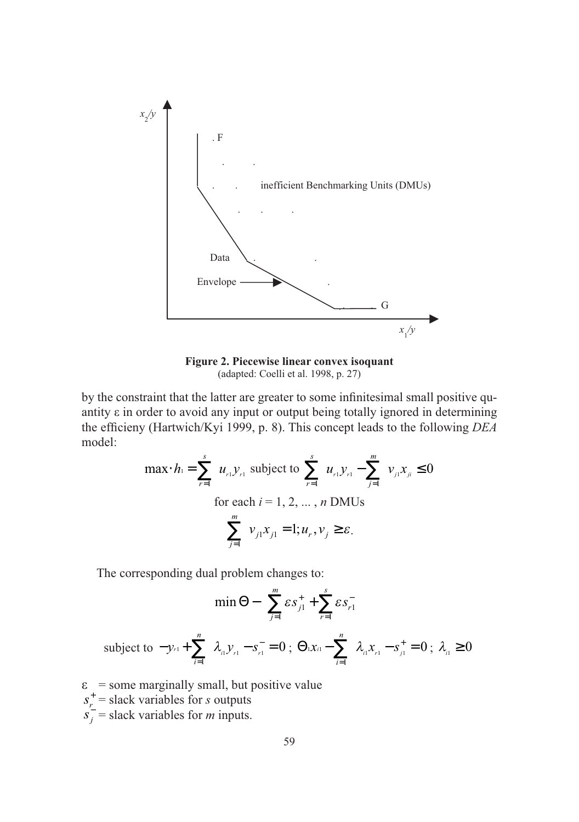

**Figure 2. Piecewise linear convex isoquant** (adapted: Coelli et al. 1998, p. 27)

by the constraint that the latter are greater to some infinitesimal small positive quantity ε in order to avoid any input or output being totally ignored in determining the efficieny (Hartwich/Kyi 1999, p. 8). This concept leads to the following *DEA* model:

$$
\max \n\cdot h_{1} = \sum_{r=1}^{s} u_{r} y_{r1} \n\text{ subject to } \sum_{r=1}^{s} u_{r1} y_{r1} - \sum_{j=1}^{m} v_{j1} x_{j1} \le 0
$$
\n
$$
\text{for each } i = 1, 2, ..., n \text{ DMUs}
$$
\n
$$
\sum_{j=1}^{m} v_{j1} x_{j1} = 1; u_{r1 v_{j} \ge \varepsilon.
$$

The corresponding dual problem changes to:

$$
\min \Theta - \left( \sum_{j=1}^{m} \varepsilon s_{j1}^{+} + \sum_{r=1}^{s} \varepsilon s_{r1}^{-} \right)
$$
  
subject to  $-y_{r1} + \sum_{i=1}^{n} \lambda_{i1} y_{r1} - s_{r1}^{-} = 0$ ;  $\Theta_1 x_{i1} - \sum_{i=1}^{n} \lambda_{i1} x_{r1} - s_{i1}^{+} = 0$ ;  $\lambda_{i1} \ge 0$ 

- $\epsilon$  = some marginally small, but positive value
- $s_r^+$  = slack variables for *s* outputs
- $s_j^-$  = slack variables for *m* inputs.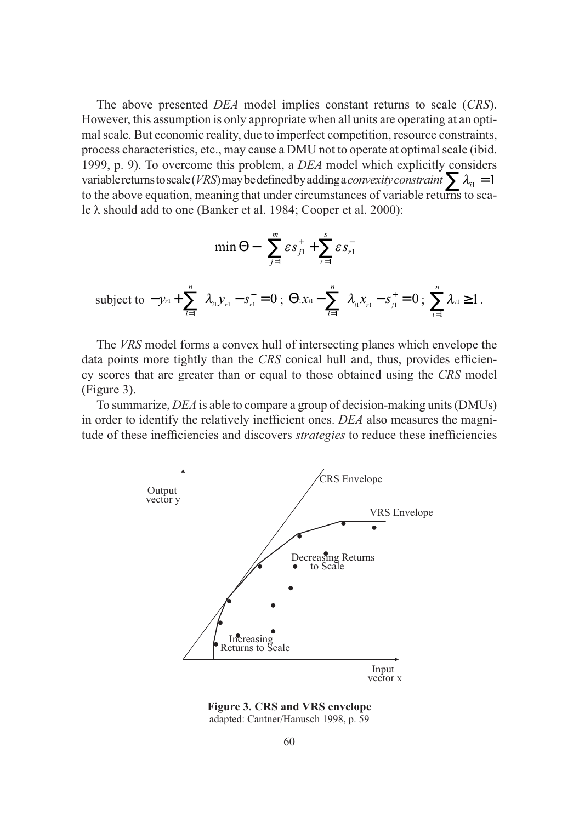The above presented *DEA* model implies constant returns to scale (*CRS*). However, this assumption is only appropriate when all units are operating at an optimal scale. But economic reality, due to imperfect competition, resource constraints, process characteristics, etc., may cause a DMU not to operate at optimal scale (ibid. 1999, p. 9). To overcome this problem, a *DEA* model which explicitly considers variable returns to scale (*VRS*) may be defined by adding a *convexity constraint*  $\sum \lambda_{i1} = 1$ to the above equation, meaning that under circumstances of variable returns to scale λ should add to one (Banker et al. 1984; Cooper et al. 2000):

$$
\min \Theta - \left( \sum_{j=1}^{m} \varepsilon s_{j1}^{+} + \sum_{r=1}^{s} \varepsilon s_{r1}^{-} \right)
$$
  
subject to  $-y_{r1} + \sum_{i=1}^{n} \lambda_{i1} y_{r1} - s_{r1}^{-} = 0$ ;  $\Theta_1 x_{i1} - \sum_{i=1}^{n} \lambda_{i1} x_{r1} - s_{j1}^{+} = 0$ ;  $\sum_{i=1}^{n} \lambda_{i1} \ge 1$ .

The *VRS* model forms a convex hull of intersecting planes which envelope the data points more tightly than the *CRS* conical hull and, thus, provides efficiency scores that are greater than or equal to those obtained using the *CRS* model (Figure 3).

To summarize, *DEA* is able to compare a group of decision-making units (DMUs) in order to identify the relatively inefficient ones. *DEA* also measures the magnitude of these inefficiencies and discovers *strategies* to reduce these inefficiencies



**Figure 3. CRS and VRS envelope** adapted: Cantner/Hanusch 1998, p. 59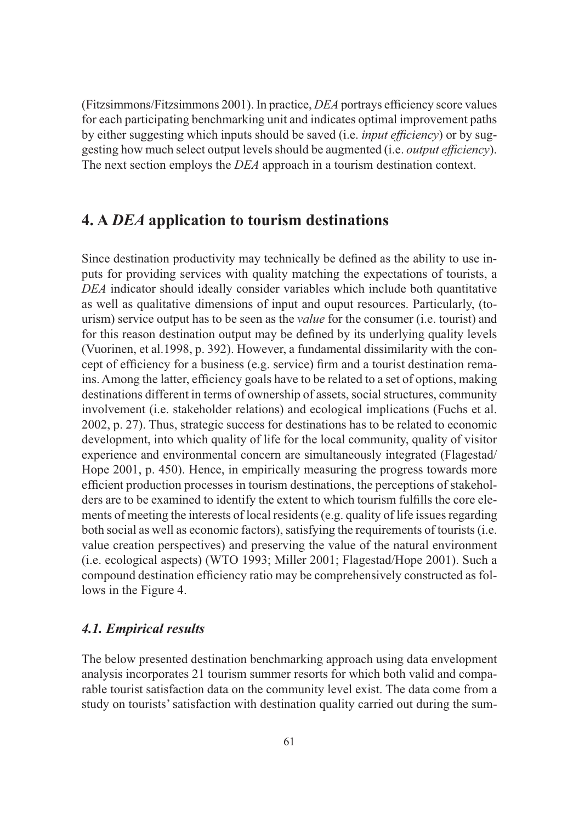(Fitzsimmons/Fitzsimmons 2001). In practice, *DEA* portrays efficiency score values for each participating benchmarking unit and indicates optimal improvement paths by either suggesting which inputs should be saved (i.e. *input efficiency*) or by suggesting how much select output levels should be augmented (i.e. *output efficiency*). The next section employs the *DEA* approach in a tourism destination context.

## **4. A** *DEA* **application to tourism destinations**

Since destination productivity may technically be defined as the ability to use inputs for providing services with quality matching the expectations of tourists, a *DEA* indicator should ideally consider variables which include both quantitative as well as qualitative dimensions of input and ouput resources. Particularly, (tourism) service output has to be seen as the *value* for the consumer (i.e. tourist) and for this reason destination output may be defined by its underlying quality levels (Vuorinen, et al.1998, p. 392). However, a fundamental dissimilarity with the concept of efficiency for a business (e.g. service) firm and a tourist destination remains. Among the latter, efficiency goals have to be related to a set of options, making destinations different in terms of ownership of assets, social structures, community involvement (i.e. stakeholder relations) and ecological implications (Fuchs et al. 2002, p. 27). Thus, strategic success for destinations has to be related to economic development, into which quality of life for the local community, quality of visitor experience and environmental concern are simultaneously integrated (Flagestad/ Hope 2001, p. 450). Hence, in empirically measuring the progress towards more efficient production processes in tourism destinations, the perceptions of stakeholders are to be examined to identify the extent to which tourism fulfills the core elements of meeting the interests of local residents (e.g. quality of life issues regarding both social as well as economic factors), satisfying the requirements of tourists (i.e. value creation perspectives) and preserving the value of the natural environment (i.e. ecological aspects) (WTO 1993; Miller 2001; Flagestad/Hope 2001). Such a compound destination efficiency ratio may be comprehensively constructed as follows in the Figure 4.

## *4.1. Empirical results*

The below presented destination benchmarking approach using data envelopment analysis incorporates 21 tourism summer resorts for which both valid and comparable tourist satisfaction data on the community level exist. The data come from a study on tourists' satisfaction with destination quality carried out during the sum-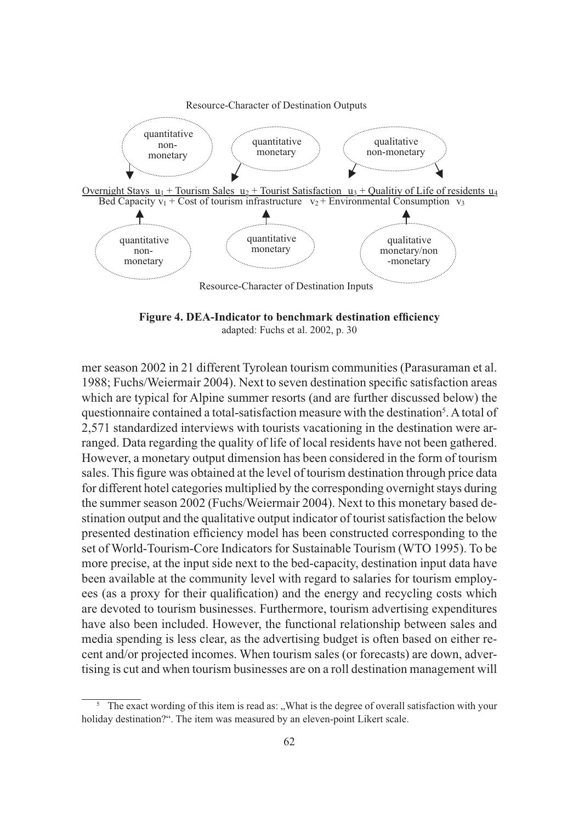

**Figure 4. DEA-Indicator to benchmark destination efficiency** adapted: Fuchs et al. 2002, p. 30

mer season 2002 in 21 different Tyrolean tourism communities (Parasuraman et al. 1988; Fuchs/Weiermair 2004). Next to seven destination specific satisfaction areas which are typical for Alpine summer resorts (and are further discussed below) the questionnaire contained a total-satisfaction measure with the destination<sup>5</sup>. A total of 2,571 standardized interviews with tourists vacationing in the destination were arranged. Data regarding the quality of life of local residents have not been gathered. However, a monetary output dimension has been considered in the form of tourism sales. This figure was obtained at the level of tourism destination through price data for different hotel categories multiplied by the corresponding overnight stays during the summer season 2002 (Fuchs/Weiermair 2004). Next to this monetary based destination output and the qualitative output indicator of tourist satisfaction the below presented destination efficiency model has been constructed corresponding to the set of World-Tourism-Core Indicators for Sustainable Tourism (WTO 1995). To be more precise, at the input side next to the bed-capacity, destination input data have been available at the community level with regard to salaries for tourism employees (as a proxy for their qualification) and the energy and recycling costs which are devoted to tourism businesses. Furthermore, tourism advertising expenditures have also been included. However, the functional relationship between sales and media spending is less clear, as the advertising budget is often based on either recent and/or projected incomes. When tourism sales (or forecasts) are down, advertising is cut and when tourism businesses are on a roll destination management will

<sup>5</sup> The exact wording of this item is read as: "What is the degree of overall satisfaction with your holiday destination?". The item was measured by an eleven-point Likert scale.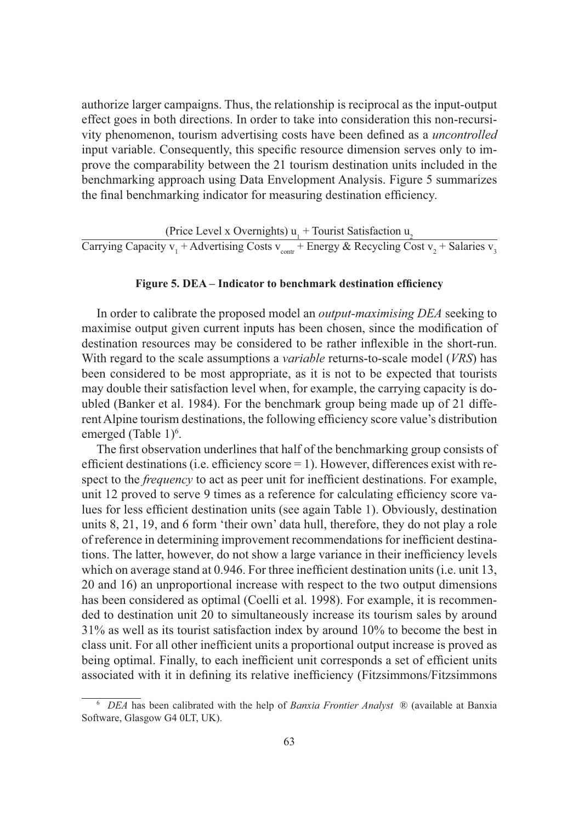authorize larger campaigns. Thus, the relationship is reciprocal as the input-output effect goes in both directions. In order to take into consideration this non-recursivity phenomenon, tourism advertising costs have been defined as a *uncontrolled* input variable. Consequently, this specific resource dimension serves only to improve the comparability between the 21 tourism destination units included in the benchmarking approach using Data Envelopment Analysis. Figure 5 summarizes the final benchmarking indicator for measuring destination efficiency.

(Price Level x Overnights)  $u_1$  + Tourist Satisfaction  $u_2$ Carrying Capacity v<sub>1</sub> + Advertising Costs v<sub>contr</sub> + Energy & Recycling Cost v<sub>2</sub> + Salaries v<sub>3</sub>

#### **Figure 5. DEA – Indicator to benchmark destination efficiency**

In order to calibrate the proposed model an *output-maximising DEA* seeking to maximise output given current inputs has been chosen, since the modification of destination resources may be considered to be rather inflexible in the short-run. With regard to the scale assumptions a *variable* returns-to-scale model (*VRS*) has been considered to be most appropriate, as it is not to be expected that tourists may double their satisfaction level when, for example, the carrying capacity is doubled (Banker et al. 1984). For the benchmark group being made up of 21 different Alpine tourism destinations, the following efficiency score value's distribution emerged (Table 1)<sup>6</sup>.

The first observation underlines that half of the benchmarking group consists of efficient destinations (i.e. efficiency score  $= 1$ ). However, differences exist with respect to the *frequency* to act as peer unit for inefficient destinations. For example, unit 12 proved to serve 9 times as a reference for calculating efficiency score values for less efficient destination units (see again Table 1). Obviously, destination units 8, 21, 19, and 6 form 'their own' data hull, therefore, they do not play a role of reference in determining improvement recommendations for inefficient destinations. The latter, however, do not show a large variance in their inefficiency levels which on average stand at 0.946. For three inefficient destination units (i.e. unit 13, 20 and 16) an unproportional increase with respect to the two output dimensions has been considered as optimal (Coelli et al. 1998). For example, it is recommended to destination unit 20 to simultaneously increase its tourism sales by around 31% as well as its tourist satisfaction index by around 10% to become the best in class unit. For all other inefficient units a proportional output increase is proved as being optimal. Finally, to each inefficient unit corresponds a set of efficient units associated with it in defining its relative inefficiency (Fitzsimmons/Fitzsimmons

<sup>6</sup> *DEA* has been calibrated with the help of *Banxia Frontier Analyst* ® (available at Banxia Software, Glasgow G4 0LT, UK).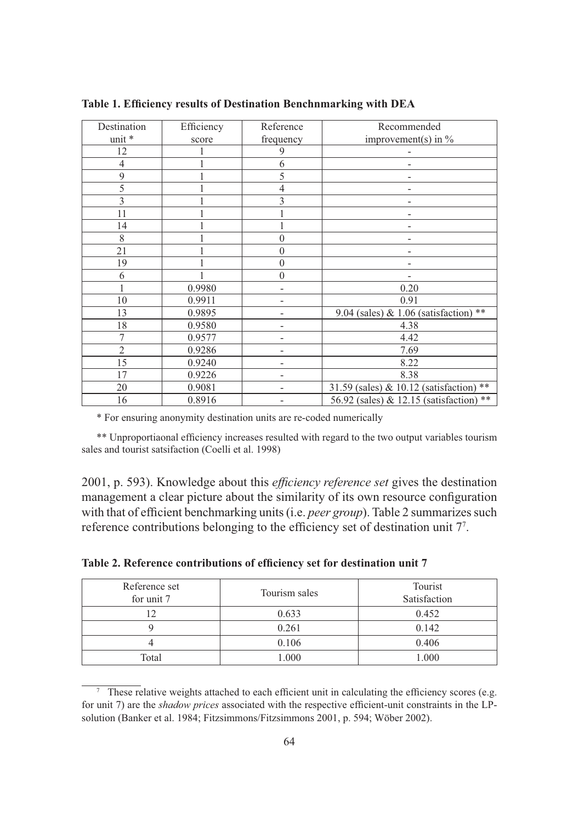| Destination    | Efficiency | Reference                | Recommended                             |
|----------------|------------|--------------------------|-----------------------------------------|
| unit *         | score      | frequency                | improvement(s) in $\%$                  |
| 12             |            | 9                        |                                         |
| $\overline{4}$ |            | 6                        |                                         |
| 9              |            | 5                        |                                         |
| 5              |            | $\overline{4}$           |                                         |
| 3              |            | 3                        |                                         |
| 11             |            |                          |                                         |
| 14             |            |                          |                                         |
| 8              |            | $\mathbf{0}$             |                                         |
| 21             |            | $\mathbf{0}$             |                                         |
| 19             |            | $\boldsymbol{0}$         |                                         |
| 6              |            | $\overline{0}$           |                                         |
|                | 0.9980     | $\overline{\phantom{a}}$ | 0.20                                    |
| 10             | 0.9911     |                          | 0.91                                    |
| 13             | 0.9895     |                          | 9.04 (sales) & 1.06 (satisfaction) **   |
| 18             | 0.9580     |                          | 4.38                                    |
| 7              | 0.9577     |                          | 4.42                                    |
| $\overline{2}$ | 0.9286     | -                        | 7.69                                    |
| 15             | 0.9240     |                          | 8.22                                    |
| 17             | 0.9226     |                          | 8.38                                    |
| 20             | 0.9081     |                          | 31.59 (sales) & 10.12 (satisfaction) ** |
| 16             | 0.8916     |                          | 56.92 (sales) & 12.15 (satisfaction) ** |

**Table 1. Efficiency results of Destination Benchnmarking with DEA**

\* For ensuring anonymity destination units are re-coded numerically

\*\* Unproportiaonal efficiency increases resulted with regard to the two output variables tourism sales and tourist satsifaction (Coelli et al. 1998)

2001, p. 593). Knowledge about this *efficiency reference set* gives the destination management a clear picture about the similarity of its own resource configuration with that of efficient benchmarking units (i.e. *peer group*). Table 2 summarizes such reference contributions belonging to the efficiency set of destination unit 77 .

| Reference set<br>for unit 7 | Tourism sales | Tourist<br>Satisfaction |
|-----------------------------|---------------|-------------------------|
|                             | 0.633         | 0.452                   |
|                             | 0.261         | 0.142                   |
|                             | 0.106         | 0.406                   |
| Total                       | 1.000         | .000                    |

**Table 2. Reference contributions of efficiency set for destination unit 7**

<sup>&</sup>lt;sup>7</sup> These relative weights attached to each efficient unit in calculating the efficiency scores (e.g. for unit 7) are the *shadow prices* associated with the respective efficient-unit constraints in the LPsolution (Banker et al. 1984; Fitzsimmons/Fitzsimmons 2001, p. 594; Wöber 2002).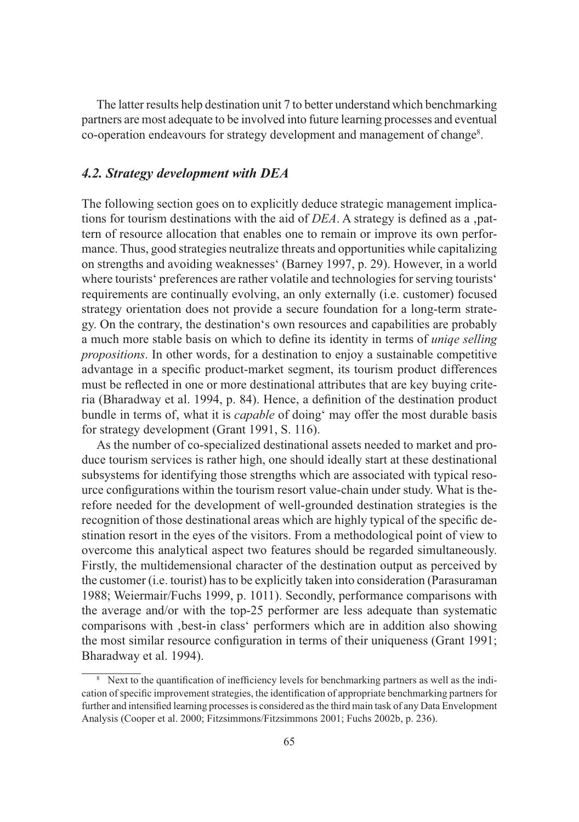The latter results help destination unit 7 to better understand which benchmarking partners are most adequate to be involved into future learning processes and eventual co-operation endeavours for strategy development and management of change<sup>8</sup>.

## *4.2. Strategy development with DEA*

The following section goes on to explicitly deduce strategic management implications for tourism destinations with the aid of *DEA*. A strategy is defined as a ,pattern of resource allocation that enables one to remain or improve its own performance. Thus, good strategies neutralize threats and opportunities while capitalizing on strengths and avoiding weaknesses' (Barney 1997, p. 29). However, in a world where tourists' preferences are rather volatile and technologies for serving tourists' requirements are continually evolving, an only externally (i.e. customer) focused strategy orientation does not provide a secure foundation for a long-term strategy. On the contrary, the destination's own resources and capabilities are probably a much more stable basis on which to define its identity in terms of *uniqe selling propositions*. In other words, for a destination to enjoy a sustainable competitive advantage in a specific product-market segment, its tourism product differences must be reflected in one or more destinational attributes that are key buying criteria (Bharadway et al. 1994, p. 84). Hence, a definition of the destination product bundle in terms of, what it is *capable* of doing' may offer the most durable basis for strategy development (Grant 1991, S. 116).

As the number of co-specialized destinational assets needed to market and produce tourism services is rather high, one should ideally start at these destinational subsystems for identifying those strengths which are associated with typical resource configurations within the tourism resort value-chain under study. What is therefore needed for the development of well-grounded destination strategies is the recognition of those destinational areas which are highly typical of the specific destination resort in the eyes of the visitors. From a methodological point of view to overcome this analytical aspect two features should be regarded simultaneously. Firstly, the multidemensional character of the destination output as perceived by the customer (i.e. tourist) has to be explicitly taken into consideration (Parasuraman 1988; Weiermair/Fuchs 1999, p. 1011). Secondly, performance comparisons with the average and/or with the top-25 performer are less adequate than systematic comparisons with 'best-in class' performers which are in addition also showing the most similar resource configuration in terms of their uniqueness (Grant 1991; Bharadway et al. 1994).

<sup>&</sup>lt;sup>8</sup> Next to the quantification of inefficiency levels for benchmarking partners as well as the indication of specific improvement strategies, the identification of appropriate benchmarking partners for further and intensified learning processes is considered as the third main task of any Data Envelopment Analysis (Cooper et al. 2000; Fitzsimmons/Fitzsimmons 2001; Fuchs 2002b, p. 236).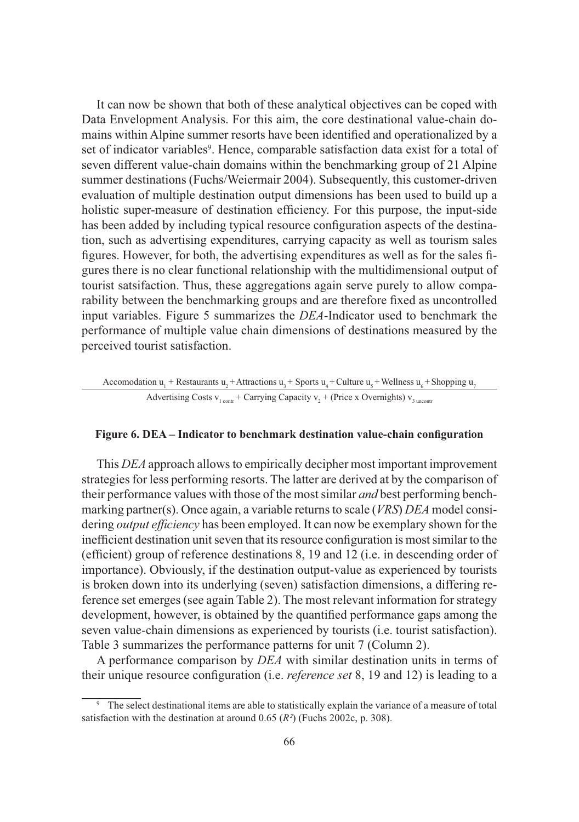It can now be shown that both of these analytical objectives can be coped with Data Envelopment Analysis. For this aim, the core destinational value-chain domains within Alpine summer resorts have been identified and operationalized by a set of indicator variables<sup>9</sup>. Hence, comparable satisfaction data exist for a total of seven different value-chain domains within the benchmarking group of 21 Alpine summer destinations (Fuchs/Weiermair 2004). Subsequently, this customer-driven evaluation of multiple destination output dimensions has been used to build up a holistic super-measure of destination efficiency. For this purpose, the input-side has been added by including typical resource configuration aspects of the destination, such as advertising expenditures, carrying capacity as well as tourism sales figures. However, for both, the advertising expenditures as well as for the sales figures there is no clear functional relationship with the multidimensional output of tourist satsifaction. Thus, these aggregations again serve purely to allow comparability between the benchmarking groups and are therefore fixed as uncontrolled input variables. Figure 5 summarizes the *DEA*-Indicator used to benchmark the performance of multiple value chain dimensions of destinations measured by the perceived tourist satisfaction.

#### Accomodation  $u_1$  + Restaurants  $u_2$  + Attractions  $u_3$  + Sports  $u_4$  + Culture  $u_5$  + Wellness  $u_6$  + Shopping  $u_7$ Advertising Costs  $v_1$ <sub>contr</sub> + Carrying Capacity  $v_2$  + (Price x Overnights)  $v_3$ <sub>uncontr</sub>

#### **Figure 6. DEA – Indicator to benchmark destination value-chain configuration**

This *DEA* approach allows to empirically decipher most important improvement strategies for less performing resorts. The latter are derived at by the comparison of their performance values with those of the most similar *and* best performing benchmarking partner(s). Once again, a variable returns to scale (*VRS*) *DEA* model considering *output efficiency* has been employed. It can now be exemplary shown for the inefficient destination unit seven that its resource configuration is most similar to the (efficient) group of reference destinations 8, 19 and 12 (i.e. in descending order of importance). Obviously, if the destination output-value as experienced by tourists is broken down into its underlying (seven) satisfaction dimensions, a differing reference set emerges (see again Table 2). The most relevant information for strategy development, however, is obtained by the quantified performance gaps among the seven value-chain dimensions as experienced by tourists (i.e. tourist satisfaction). Table 3 summarizes the performance patterns for unit 7 (Column 2).

A performance comparison by *DEA* with similar destination units in terms of their unique resource configuration (i.e. *reference set* 8, 19 and 12) is leading to a

<sup>9</sup> The select destinational items are able to statistically explain the variance of a measure of total satisfaction with the destination at around 0.65 (*R²*) (Fuchs 2002c, p. 308).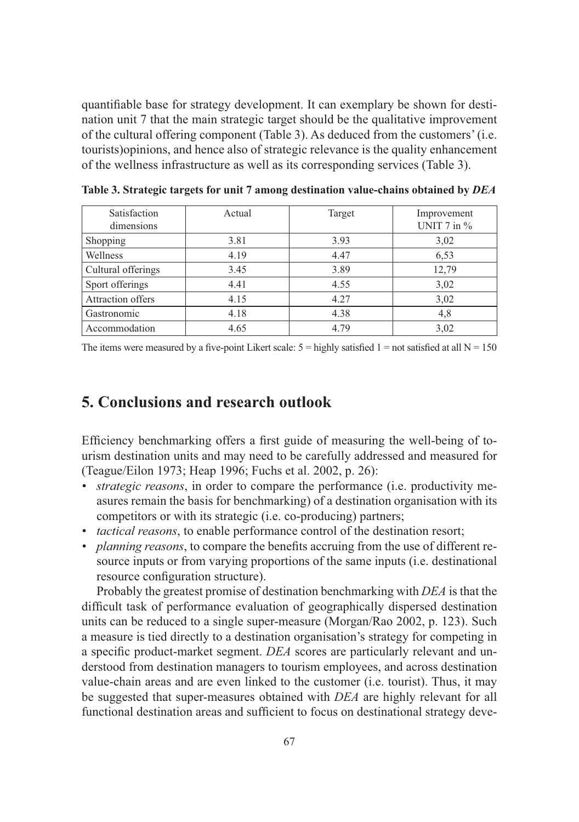quantifiable base for strategy development. It can exemplary be shown for destination unit 7 that the main strategic target should be the qualitative improvement of the cultural offering component (Table 3). As deduced from the customers' (i.e. tourists)opinions, and hence also of strategic relevance is the quality enhancement of the wellness infrastructure as well as its corresponding services (Table 3).

| Satisfaction<br>dimensions | Actual | Target | Improvement<br>UNIT $7$ in $\%$ |
|----------------------------|--------|--------|---------------------------------|
| Shopping                   | 3.81   | 3.93   | 3,02                            |
| Wellness                   | 4.19   | 4.47   | 6,53                            |
| Cultural offerings         | 3.45   | 3.89   | 12,79                           |
| Sport offerings            | 4.41   | 4.55   | 3,02                            |
| <b>Attraction offers</b>   | 4.15   | 4.27   | 3,02                            |
| Gastronomic                | 4.18   | 4.38   | 4,8                             |
| Accommodation              | 4.65   | 4.79   | 3,02                            |

**Table 3. Strategic targets for unit 7 among destination value-chains obtained by** *DEA*

The items were measured by a five-point Likert scale:  $5 =$  highly satisfied  $1 =$  not satisfied at all  $N = 150$ 

## **5. Conclusions and research outlook**

Efficiency benchmarking offers a first guide of measuring the well-being of tourism destination units and may need to be carefully addressed and measured for (Teague/Eilon 1973; Heap 1996; Fuchs et al. 2002, p. 26):

- *strategic reasons*, in order to compare the performance (i.e. productivity measures remain the basis for benchmarking) of a destination organisation with its competitors or with its strategic (i.e. co-producing) partners;
- *tactical reasons*, to enable performance control of the destination resort;
- *planning reasons*, to compare the benefits accruing from the use of different resource inputs or from varying proportions of the same inputs (i.e. destinational resource configuration structure).

Probably the greatest promise of destination benchmarking with *DEA* is that the difficult task of performance evaluation of geographically dispersed destination units can be reduced to a single super-measure (Morgan/Rao 2002, p. 123). Such a measure is tied directly to a destination organisation's strategy for competing in a specific product-market segment. *DEA* scores are particularly relevant and understood from destination managers to tourism employees, and across destination value-chain areas and are even linked to the customer (i.e. tourist). Thus, it may be suggested that super-measures obtained with *DEA* are highly relevant for all functional destination areas and sufficient to focus on destinational strategy deve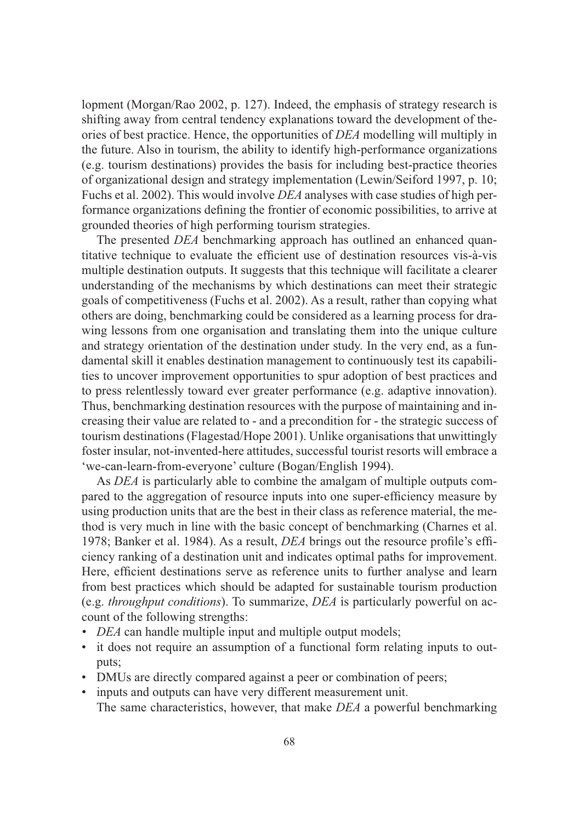lopment (Morgan/Rao 2002, p. 127). Indeed, the emphasis of strategy research is shifting away from central tendency explanations toward the development of theories of best practice. Hence, the opportunities of *DEA* modelling will multiply in the future. Also in tourism, the ability to identify high-performance organizations (e.g. tourism destinations) provides the basis for including best-practice theories of organizational design and strategy implementation (Lewin/Seiford 1997, p. 10; Fuchs et al. 2002). This would involve *DEA* analyses with case studies of high performance organizations defining the frontier of economic possibilities, to arrive at grounded theories of high performing tourism strategies.

The presented *DEA* benchmarking approach has outlined an enhanced quantitative technique to evaluate the efficient use of destination resources vis-à-vis multiple destination outputs. It suggests that this technique will facilitate a clearer understanding of the mechanisms by which destinations can meet their strategic goals of competitiveness (Fuchs et al. 2002). As a result, rather than copying what others are doing, benchmarking could be considered as a learning process for drawing lessons from one organisation and translating them into the unique culture and strategy orientation of the destination under study. In the very end, as a fundamental skill it enables destination management to continuously test its capabilities to uncover improvement opportunities to spur adoption of best practices and to press relentlessly toward ever greater performance (e.g. adaptive innovation). Thus, benchmarking destination resources with the purpose of maintaining and increasing their value are related to - and a precondition for - the strategic success of tourism destinations (Flagestad/Hope 2001). Unlike organisations that unwittingly foster insular, not-invented-here attitudes, successful tourist resorts will embrace a 'we-can-learn-from-everyone' culture (Bogan/English 1994).

As *DEA* is particularly able to combine the amalgam of multiple outputs compared to the aggregation of resource inputs into one super-efficiency measure by using production units that are the best in their class as reference material, the method is very much in line with the basic concept of benchmarking (Charnes et al. 1978; Banker et al. 1984). As a result, *DEA* brings out the resource profile's efficiency ranking of a destination unit and indicates optimal paths for improvement. Here, efficient destinations serve as reference units to further analyse and learn from best practices which should be adapted for sustainable tourism production (e.g. *throughput conditions*). To summarize, *DEA* is particularly powerful on account of the following strengths:

- *DEA* can handle multiple input and multiple output models;
- it does not require an assumption of a functional form relating inputs to outputs;
- DMUs are directly compared against a peer or combination of peers;
- inputs and outputs can have very different measurement unit. The same characteristics, however, that make *DEA* a powerful benchmarking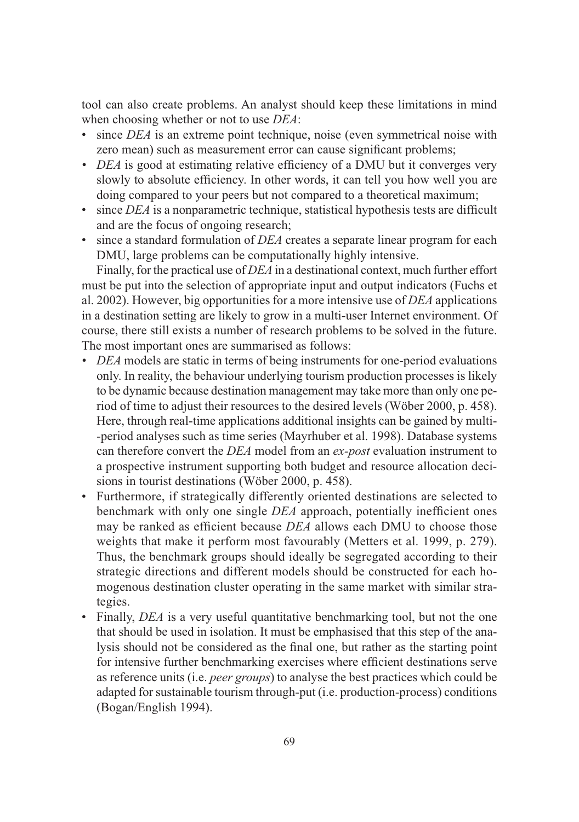tool can also create problems. An analyst should keep these limitations in mind when choosing whether or not to use *DEA*:

- since *DEA* is an extreme point technique, noise (even symmetrical noise with zero mean) such as measurement error can cause significant problems;
- *DEA* is good at estimating relative efficiency of a DMU but it converges very slowly to absolute efficiency. In other words, it can tell you how well you are doing compared to your peers but not compared to a theoretical maximum;
- since *DEA* is a nonparametric technique, statistical hypothesis tests are difficult and are the focus of ongoing research;
- since a standard formulation of *DEA* creates a separate linear program for each DMU, large problems can be computationally highly intensive.

Finally, for the practical use of *DEA* in a destinational context, much further effort must be put into the selection of appropriate input and output indicators (Fuchs et al. 2002). However, big opportunities for a more intensive use of *DEA* applications in a destination setting are likely to grow in a multi-user Internet environment. Of course, there still exists a number of research problems to be solved in the future. The most important ones are summarised as follows:

- *DEA* models are static in terms of being instruments for one-period evaluations only. In reality, the behaviour underlying tourism production processes is likely to be dynamic because destination management may take more than only one period of time to adjust their resources to the desired levels (Wöber 2000, p. 458). Here, through real-time applications additional insights can be gained by multi- -period analyses such as time series (Mayrhuber et al. 1998). Database systems can therefore convert the *DEA* model from an *ex-post* evaluation instrument to a prospective instrument supporting both budget and resource allocation decisions in tourist destinations (Wöber 2000, p. 458).
- Furthermore, if strategically differently oriented destinations are selected to benchmark with only one single *DEA* approach, potentially inefficient ones may be ranked as efficient because *DEA* allows each DMU to choose those weights that make it perform most favourably (Metters et al. 1999, p. 279). Thus, the benchmark groups should ideally be segregated according to their strategic directions and different models should be constructed for each homogenous destination cluster operating in the same market with similar strategies.
- Finally, *DEA* is a very useful quantitative benchmarking tool, but not the one that should be used in isolation. It must be emphasised that this step of the analysis should not be considered as the final one, but rather as the starting point for intensive further benchmarking exercises where efficient destinations serve as reference units (i.e. *peer groups*) to analyse the best practices which could be adapted for sustainable tourism through-put (i.e. production-process) conditions (Bogan/English 1994).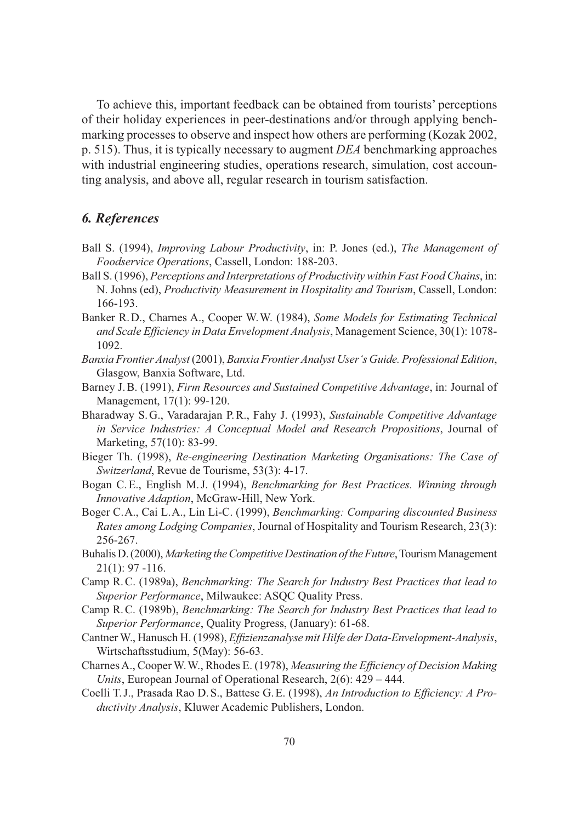To achieve this, important feedback can be obtained from tourists' perceptions of their holiday experiences in peer-destinations and/or through applying benchmarking processes to observe and inspect how others are performing (Kozak 2002, p. 515). Thus, it is typically necessary to augment *DEA* benchmarking approaches with industrial engineering studies, operations research, simulation, cost accounting analysis, and above all, regular research in tourism satisfaction.

#### *6. References*

- Ball S. (1994), *Improving Labour Productivity*, in: P. Jones (ed.), *The Management of Foodservice Operations*, Cassell, London: 188-203.
- Ball S. (1996), *Perceptions and Interpretations of Productivity within Fast Food Chains*, in: N. Johns (ed), *Productivity Measurement in Hospitality and Tourism*, Cassell, London: 166-193.
- Banker R. D., Charnes A., Cooper W. W. (1984), *Some Models for Estimating Technical and Scale Efficiency in Data Envelopment Analysis*, Management Science, 30(1): 1078- 1092.
- *Banxia Frontier Analyst* (2001), *Banxia Frontier Analyst User's Guide. Professional Edition*, Glasgow, Banxia Software, Ltd.
- Barney J. B. (1991), *Firm Resources and Sustained Competitive Advantage*, in: Journal of Management, 17(1): 99-120.
- Bharadway S. G., Varadarajan P. R., Fahy J. (1993), *Sustainable Competitive Advantage in Service Industries: A Conceptual Model and Research Propositions*, Journal of Marketing, 57(10): 83-99.
- Bieger Th. (1998), *Re-engineering Destination Marketing Organisations: The Case of Switzerland*, Revue de Tourisme, 53(3): 4-17.
- Bogan C. E., English M. J. (1994), *Benchmarking for Best Practices. Winning through Innovative Adaption*, McGraw-Hill, New York.
- Boger C. A., Cai L. A., Lin Li-C. (1999), *Benchmarking: Comparing discounted Business Rates among Lodging Companies*, Journal of Hospitality and Tourism Research, 23(3): 256-267.
- Buhalis D. (2000), *Marketing the Competitive Destination of the Future*, Tourism Management 21(1): 97 -116.
- Camp R. C. (1989a), *Benchmarking: The Search for Industry Best Practices that lead to Superior Performance*, Milwaukee: ASQC Quality Press.
- Camp R. C. (1989b), *Benchmarking: The Search for Industry Best Practices that lead to Superior Performance*, Quality Progress, (January): 61-68.
- Cantner W., Hanusch H. (1998), *Effizienzanalyse mit Hilfe der Data-Envelopment-Analysis*, Wirtschaftsstudium, 5(May): 56-63.
- Charnes A., Cooper W. W., Rhodes E. (1978), *Measuring the Efficiency of Decision Making Units*, European Journal of Operational Research, 2(6): 429 – 444.
- Coelli T. J., Prasada Rao D. S., Battese G. E. (1998), *An Introduction to Efficiency: A Productivity Analysis*, Kluwer Academic Publishers, London.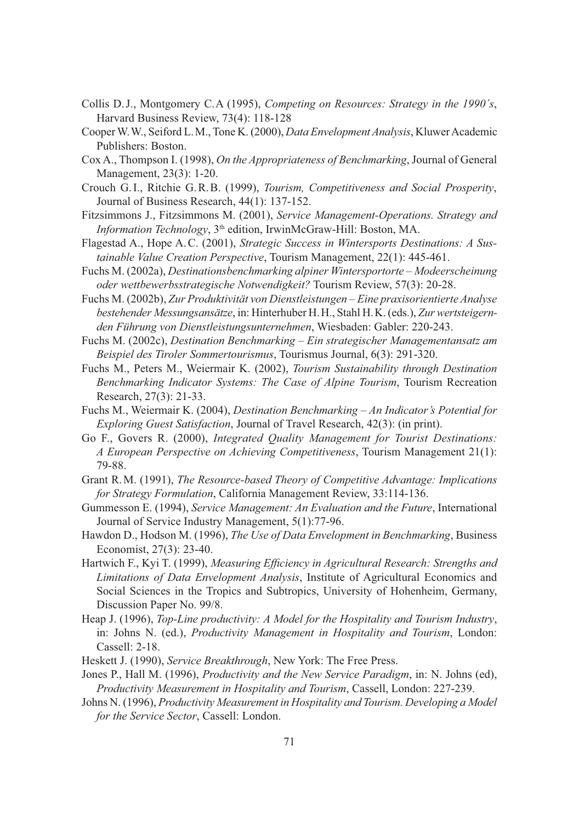- Collis D. J., Montgomery C. A (1995), *Competing on Resources: Strategy in the 1990´s*, Harvard Business Review, 73(4): 118-128
- Cooper W. W., Seiford L. M., Tone K. (2000), *Data Envelopment Analysis*, Kluwer Academic Publishers: Boston.
- Cox A., Thompson I. (1998), *On the Appropriateness of Benchmarking*, Journal of General Management, 23(3): 1-20.
- Crouch G. I., Ritchie G. R. B. (1999), *Tourism, Competitiveness and Social Prosperity*, Journal of Business Research, 44(1): 137-152.
- Fitzsimmons J., Fitzsimmons M. (2001), *Service Management-Operations. Strategy and Information Technology*, 3<sup>th</sup> edition, IrwinMcGraw-Hill: Boston, MA.
- Flagestad A., Hope A. C. (2001), *Strategic Success in Wintersports Destinations: A Sustainable Value Creation Perspective*, Tourism Management, 22(1): 445-461.
- Fuchs M. (2002a), *Destinationsbenchmarking alpiner Wintersportorte Modeerscheinung oder wettbewerbsstrategische Notwendigkeit?* Tourism Review, 57(3): 20-28.
- Fuchs M. (2002b), *Zur Produktivität von Dienstleistungen Eine praxisorientierte Analyse bestehender Messungsansätze*, in: Hinterhuber H. H., Stahl H. K. (eds.), *Zur wertsteigernden Führung von Dienstleistungsunternehmen*, Wiesbaden: Gabler: 220-243.
- Fuchs M. (2002c), *Destination Benchmarking Ein strategischer Managementansatz am Beispiel des Tiroler Sommertourismus*, Tourismus Journal, 6(3): 291-320.
- Fuchs M., Peters M., Weiermair K. (2002), *Tourism Sustainability through Destination Benchmarking Indicator Systems: The Case of Alpine Tourism*, Tourism Recreation Research, 27(3): 21-33.
- Fuchs M., Weiermair K. (2004), *Destination Benchmarking An Indicator's Potential for Exploring Guest Satisfaction*, Journal of Travel Research, 42(3): (in print).
- Go F., Govers R. (2000), *Integrated Quality Management for Tourist Destinations: A European Perspective on Achieving Competitiveness*, Tourism Management 21(1): 79-88.
- Grant R. M. (1991), *The Resource-based Theory of Competitive Advantage: Implications for Strategy Formulation*, California Management Review, 33:114-136.
- Gummesson E. (1994), *Service Management: An Evaluation and the Future*, International Journal of Service Industry Management, 5(1):77-96.
- Hawdon D., Hodson M. (1996), *The Use of Data Envelopment in Benchmarking*, Business Economist, 27(3): 23-40.
- Hartwich F., Kyi T. (1999), *Measuring Efficiency in Agricultural Research: Strengths and Limitations of Data Envelopment Analysis*, Institute of Agricultural Economics and Social Sciences in the Tropics and Subtropics, University of Hohenheim, Germany, Discussion Paper No. 99/8.
- Heap J. (1996), *Top-Line productivity: A Model for the Hospitality and Tourism Industry*, in: Johns N. (ed.), *Productivity Management in Hospitality and Tourism*, London: Cassell: 2-18.
- Heskett J. (1990), *Service Breakthrough*, New York: The Free Press.
- Jones P., Hall M. (1996), *Productivity and the New Service Paradigm*, in: N. Johns (ed), *Productivity Measurement in Hospitality and Tourism*, Cassell, London: 227-239.
- Johns N. (1996), *Productivity Measurement in Hospitality and Tourism. Developing a Model for the Service Sector*, Cassell: London.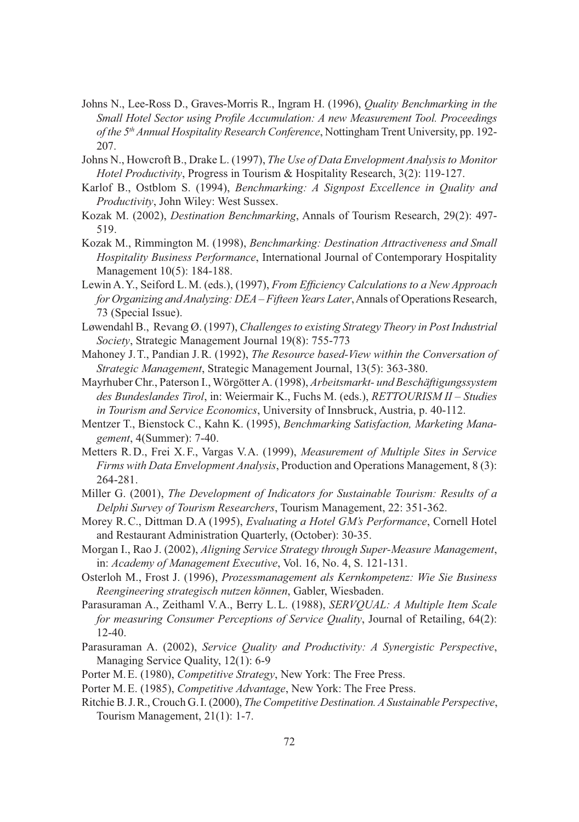- Johns N., Lee-Ross D., Graves-Morris R., Ingram H. (1996), *Quality Benchmarking in the Small Hotel Sector using Profile Accumulation: A new Measurement Tool. Proceedings of the 5th Annual Hospitality Research Conference*, Nottingham Trent University, pp. 192- 207.
- Johns N., Howcroft B., Drake L. (1997), *The Use of Data Envelopment Analysis to Monitor Hotel Productivity*, Progress in Tourism & Hospitality Research, 3(2): 119-127.
- Karlof B., Ostblom S. (1994), *Benchmarking: A Signpost Excellence in Quality and Productivity*, John Wiley: West Sussex.
- Kozak M. (2002), *Destination Benchmarking*, Annals of Tourism Research, 29(2): 497- 519.
- Kozak M., Rimmington M. (1998), *Benchmarking: Destination Attractiveness and Small Hospitality Business Performance*, International Journal of Contemporary Hospitality Management 10(5): 184-188.
- Lewin A. Y., Seiford L. M. (eds.), (1997), *From Efficiency Calculations to a New Approach for Organizing and Analyzing: DEA – Fifteen Years Later*, Annals of Operations Research, 73 (Special Issue).
- Løwendahl B., Revang Ø. (1997), *Challenges to existing Strategy Theory in Post Industrial Society*, Strategic Management Journal 19(8): 755-773
- Mahoney J. T., Pandian J. R. (1992), *The Resource based-View within the Conversation of Strategic Management*, Strategic Management Journal, 13(5): 363-380.
- Mayrhuber Chr., Paterson I., Wörgötter A. (1998), *Arbeitsmarkt- und Beschäftigungssystem des Bundeslandes Tirol*, in: Weiermair K., Fuchs M. (eds.), *RETTOURISM II – Studies in Tourism and Service Economics*, University of Innsbruck, Austria, p. 40-112.
- Mentzer T., Bienstock C., Kahn K. (1995), *Benchmarking Satisfaction, Marketing Management*, 4(Summer): 7-40.
- Metters R. D., Frei X. F., Vargas V. A. (1999), *Measurement of Multiple Sites in Service Firms with Data Envelopment Analysis*, Production and Operations Management, 8 (3): 264-281.
- Miller G. (2001), *The Development of Indicators for Sustainable Tourism: Results of a Delphi Survey of Tourism Researchers*, Tourism Management, 22: 351-362.
- Morey R. C., Dittman D. A (1995), *Evaluating a Hotel GM's Performance*, Cornell Hotel and Restaurant Administration Quarterly, (October): 30-35.
- Morgan I., Rao J. (2002), *Aligning Service Strategy through Super-Measure Management*, in: *Academy of Management Executive*, Vol. 16, No. 4, S. 121-131.
- Osterloh M., Frost J. (1996), *Prozessmanagement als Kernkompetenz: Wie Sie Business Reengineering strategisch nutzen können*, Gabler, Wiesbaden.
- Parasuraman A., Zeithaml V. A., Berry L. L. (1988), *SERVQUAL: A Multiple Item Scale for measuring Consumer Perceptions of Service Quality*, Journal of Retailing, 64(2): 12-40.
- Parasuraman A. (2002), *Service Quality and Productivity: A Synergistic Perspective*, Managing Service Quality, 12(1): 6-9
- Porter M. E. (1980), *Competitive Strategy*, New York: The Free Press.
- Porter M. E. (1985), *Competitive Advantage*, New York: The Free Press.
- Ritchie B. J. R., Crouch G. I. (2000), *The Competitive Destination. A Sustainable Perspective*, Tourism Management, 21(1): 1-7.